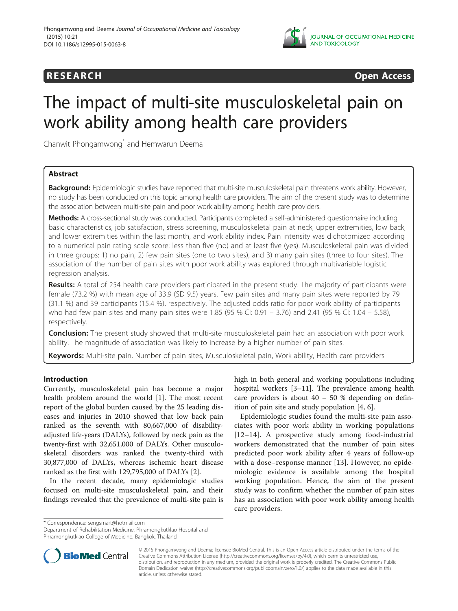

# **RESEARCH CHINESEARCH CHINESEARCH CHINESE**

# The impact of multi-site musculoskeletal pain on work ability among health care providers

Chanwit Phongamwong\* and Hemwarun Deema

# Abstract

Background: Epidemiologic studies have reported that multi-site musculoskeletal pain threatens work ability. However, no study has been conducted on this topic among health care providers. The aim of the present study was to determine the association between multi-site pain and poor work ability among health care providers.

Methods: A cross-sectional study was conducted. Participants completed a self-administered questionnaire including basic characteristics, job satisfaction, stress screening, musculoskeletal pain at neck, upper extremities, low back, and lower extremities within the last month, and work ability index. Pain intensity was dichotomized according to a numerical pain rating scale score: less than five (no) and at least five (yes). Musculoskeletal pain was divided in three groups: 1) no pain, 2) few pain sites (one to two sites), and 3) many pain sites (three to four sites). The association of the number of pain sites with poor work ability was explored through multivariable logistic regression analysis.

Results: A total of 254 health care providers participated in the present study. The majority of participants were female (73.2 %) with mean age of 33.9 (SD 9.5) years. Few pain sites and many pain sites were reported by 79 (31.1 %) and 39 participants (15.4 %), respectively. The adjusted odds ratio for poor work ability of participants who had few pain sites and many pain sites were 1.85 (95 % CI: 0.91 – 3.76) and 2.41 (95 % CI: 1.04 – 5.58), respectively.

**Conclusion:** The present study showed that multi-site musculoskeletal pain had an association with poor work ability. The magnitude of association was likely to increase by a higher number of pain sites.

Keywords: Multi-site pain, Number of pain sites, Musculoskeletal pain, Work ability, Health care providers

# Introduction

Currently, musculoskeletal pain has become a major health problem around the world [[1\]](#page-3-0). The most recent report of the global burden caused by the 25 leading diseases and injuries in 2010 showed that low back pain ranked as the seventh with 80,667,000 of disabilityadjusted life-years (DALYs), followed by neck pain as the twenty-first with 32,651,000 of DALYs. Other musculoskeletal disorders was ranked the twenty-third with 30,877,000 of DALYs, whereas ischemic heart disease ranked as the first with 129,795,000 of DALYs [\[2](#page-3-0)].

In the recent decade, many epidemiologic studies focused on multi-site musculoskeletal pain, and their findings revealed that the prevalence of multi-site pain is high in both general and working populations including hospital workers [[3](#page-3-0)–[11](#page-3-0)]. The prevalence among health care providers is about  $40 - 50$  % depending on definition of pain site and study population [[4, 6\]](#page-3-0).

Epidemiologic studies found the multi-site pain associates with poor work ability in working populations [[12](#page-3-0)–[14](#page-3-0)]. A prospective study among food-industrial workers demonstrated that the number of pain sites predicted poor work ability after 4 years of follow-up with a dose–response manner [[13\]](#page-3-0). However, no epidemiologic evidence is available among the hospital working population. Hence, the aim of the present study was to confirm whether the number of pain sites has an association with poor work ability among health care providers.

\* Correspondence: [sengsmart@hotmail.com](mailto:sengsmart@hotmail.com)

Department of Rehabilitation Medicine, Phramongkutklao Hospital and Phramongkutklao College of Medicine, Bangkok, Thailand



© 2015 Phongamwong and Deema; licensee BioMed Central. This is an Open Access article distributed under the terms of the Creative Commons Attribution License (<http://creativecommons.org/licenses/by/4.0>), which permits unrestricted use, distribution, and reproduction in any medium, provided the original work is properly credited. The Creative Commons Public Domain Dedication waiver [\(http://creativecommons.org/publicdomain/zero/1.0/\)](http://creativecommons.org/publicdomain/zero/1.0/) applies to the data made available in this article, unless otherwise stated.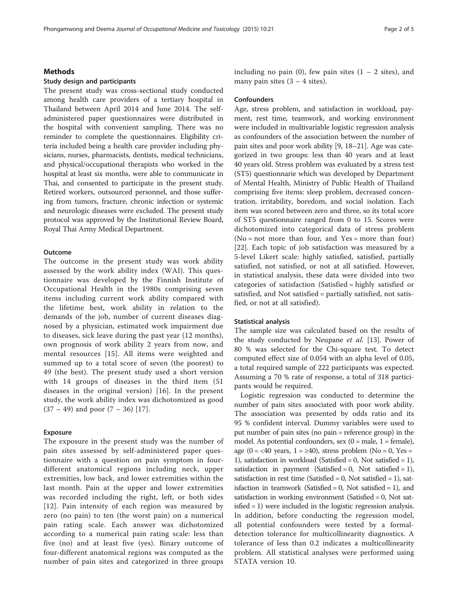# **Methods**

# Study design and participants

The present study was cross-sectional study conducted among health care providers of a tertiary hospital in Thailand between April 2014 and June 2014. The selfadministered paper questionnaires were distributed in the hospital with convenient sampling. There was no reminder to complete the questionnaires. Eligibility criteria included being a health care provider including physicians, nurses, pharmacists, dentists, medical technicians, and physical/occupational therapists who worked in the hospital at least six months, were able to communicate in Thai, and consented to participate in the present study. Retired workers, outsourced personnel, and those suffering from tumors, fracture, chronic infection or systemic and neurologic diseases were excluded. The present study protocol was approved by the Institutional Review Board, Royal Thai Army Medical Department.

# **Outcome**

The outcome in the present study was work ability assessed by the work ability index (WAI). This questionnaire was developed by the Finnish Institute of Occupational Health in the 1980s comprising seven items including current work ability compared with the lifetime best, work ability in relation to the demands of the job, number of current diseases diagnosed by a physician, estimated work impairment due to diseases, sick leave during the past year (12 months), own prognosis of work ability 2 years from now, and mental resources [[15\]](#page-3-0). All items were weighted and summed up to a total score of seven (the poorest) to 49 (the best). The present study used a short version with 14 groups of diseases in the third item (51 diseases in the original version) [\[16\]](#page-3-0). In the present study, the work ability index was dichotomized as good  $(37 – 49)$  and poor  $(7 – 36)$  [[17\]](#page-3-0).

# Exposure

The exposure in the present study was the number of pain sites assessed by self-administered paper questionnaire with a question on pain symptom in fourdifferent anatomical regions including neck, upper extremities, low back, and lower extremities within the last month. Pain at the upper and lower extremities was recorded including the right, left, or both sides [[12](#page-3-0)]. Pain intensity of each region was measured by zero (no pain) to ten (the worst pain) on a numerical pain rating scale. Each answer was dichotomized according to a numerical pain rating scale: less than five (no) and at least five (yes). Binary outcome of four-different anatomical regions was computed as the number of pain sites and categorized in three groups

including no pain (0), few pain sites  $(1 - 2$  sites), and many pain sites  $(3 - 4$  sites).

#### **Confounders**

Age, stress problem, and satisfaction in workload, payment, rest time, teamwork, and working environment were included in multivariable logistic regression analysis as confounders of the association between the number of pain sites and poor work ability [[9,](#page-3-0) [18](#page-4-0)–[21](#page-4-0)]. Age was categorized in two groups: less than 40 years and at least 40 years old. Stress problem was evaluated by a stress test (ST5) questionnarie which was developed by Department of Mental Health, Ministry of Public Health of Thailand comprising five items: sleep problem, decreased concentration, irritability, boredom, and social isolation. Each item was scored between zero and three, so its total score of ST5 questionnaire ranged from 0 to 15. Scores were dichotomized into categorical data of stress problem (No = not more than four, and Yes = more than four) [[22\]](#page-4-0). Each topic of job satisfaction was measured by a 5-level Likert scale: highly satisfied, satisfied, partially satisfied, not satisfied, or not at all satisfied. However, in statistical analysis, these data were divided into two categories of satisfaction (Satisfied = highly satisfied or satisfied, and Not satisfied = partially satisfied, not satisfied, or not at all satisfied).

# Statistical analysis

The sample size was calculated based on the results of the study conducted by Neupane et al. [[13\]](#page-3-0). Power of 80 % was selected for the Chi-square test. To detect computed effect size of 0.054 with an alpha level of 0.05, a total required sample of 222 participants was expected. Assuming a 70 % rate of response, a total of 318 participants would be required.

Logistic regression was conducted to determine the number of pain sites associated with poor work ability. The association was presented by odds ratio and its 95 % confident interval. Dummy variables were used to put number of pain sites (no pain = reference group) in the model. As potential confounders, sex  $(0 = male, 1 = female)$ , age (0 = <40 years, 1 =  $\geq$ 40), stress problem (No = 0, Yes = 1), satisfaction in workload (Satisfied = 0, Not satisfied = 1), satisfaction in payment (Satisfied  $= 0$ , Not satisfied  $= 1$ ), satisfaction in rest time (Satisfied  $= 0$ , Not satisfied  $= 1$ ), satisfaction in teamwork (Satisfied  $= 0$ , Not satisfied  $= 1$ ), and satisfaction in working environment (Satisfied = 0, Not satisfied = 1) were included in the logistic regression analysis. In addition, before conducting the regression model, all potential confounders were tested by a formaldetection tolerance for multicollinearity diagnostics. A tolerance of less than 0.2 indicates a multicollinearity problem. All statistical analyses were performed using STATA version 10.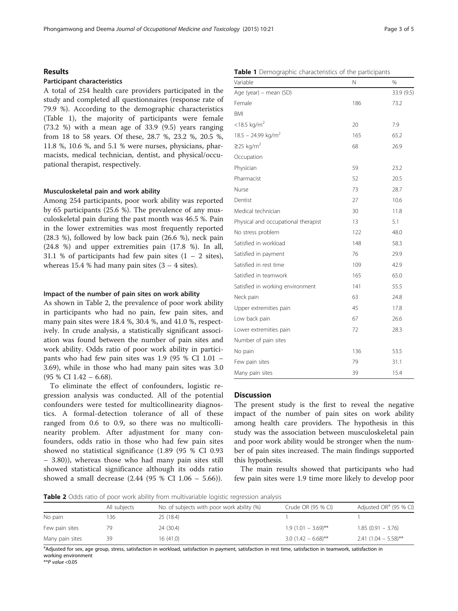# Results

# Participant characteristics

A total of 254 health care providers participated in the study and completed all questionnaires (response rate of 79.9 %). According to the demographic characteristics (Table 1), the majority of participants  $(73.2 \%)$  with a mean age of 33.9  $(9.5)$ from 18 to 58 years. Of these,  $28.7$  %,  $23$ . 11.8 %, 10.6 %, and 5.1 % were nurses, phy macists, medical technician, dentist, and p pational therapist, respectively.

# Musculoskeletal pain and work ability

Among 254 participants, poor work ability was reported by 65 participants (25.6 %). The prevalence of any musculoskeletal pain during the past month was 46.5 %. Pain in the lower extremities was most frequently reported (28.3 %), followed by low back pain (26.6 %), neck pain (24.8 %) and upper extremities pain (17.8 %). In all, 31.1 % of participants had few pain sites  $(1 - 2$  sites), whereas 15.4 % had many pain sites  $(3 - 4$  sites).

# Impact of the number of pain sites on work ability

As shown in Table 2, the prevalence of poor work ability in participants who had no pain, few pain sites, and many pain sites were 18.4 %, 30.4 %, and 41.0 %, respectively. In crude analysis, a statistically significant association was found between the number of pain sites and work ability. Odds ratio of poor work ability in participants who had few pain sites was 1.9 (95 % CI 1.01 – 3.69), while in those who had many pain sites was 3.0 (95 % CI 1.42 – 6.68).

To eliminate the effect of confounders, logistic regression analysis was conducted. All of the potential confounders were tested for multicollinearity diagnostics. A formal-detection tolerance of all of these ranged from 0.6 to 0.9, so there was no multicollinearity problem. After adjustment for many confounders, odds ratio in those who had few pain sites showed no statistical significance (1.89 (95 % CI 0.93 – 3.80)), whereas those who had many pain sites still showed statistical significance although its odds ratio showed a small decrease (2.44 (95 % CI 1.06 – 5.66)).

| were female                     |                                  |     |     |  |
|---------------------------------|----------------------------------|-----|-----|--|
| ears ranging                    | $<$ 18.5 kg/m <sup>2</sup>       | 20  | 7.S |  |
| .2 %, 20.5 %,                   | $18.5 - 24.99$ kg/m <sup>2</sup> | 165 | 65  |  |
| sicians, phar-<br>hysical/occu- | $\geq$ 25 kg/m <sup>2</sup>      | 68  | 26  |  |
|                                 | Occupation                       |     |     |  |
|                                 | Physician                        | 59  | 23  |  |
|                                 | Pharmacist                       | 52  | 20  |  |
|                                 | Nurse                            | 73. | 28  |  |

BMI

| $18.5 - 24.99$ kg/m <sup>2</sup>    | 165 | 65.2 |
|-------------------------------------|-----|------|
| $≥$ 25 kg/m <sup>2</sup>            | 68  | 26.9 |
| Occupation                          |     |      |
| Physician                           | 59  | 23.2 |
| Pharmacist                          | 52  | 20.5 |
| Nurse                               | 73  | 28.7 |
| Dentist                             | 27  | 10.6 |
| Medical technician                  | 30  | 11.8 |
| Physical and occupational therapist | 13  | 5.1  |
| No stress problem                   | 122 | 48.0 |
| Satisfied in workload               | 148 | 58.3 |
| Satisfied in payment                | 76  | 29.9 |
| Satisfied in rest time              | 109 | 42.9 |
| Satisfied in teamwork               | 165 | 65.0 |
| Satisfied in working environment    | 141 | 55.5 |
| Neck pain                           | 63  | 24.8 |
| Upper extremities pain              | 45  | 17.8 |
| Low back pain                       | 67  | 26.6 |
| Lower extremities pain              | 72  | 28.3 |
| Number of pain sites                |     |      |
| No pain                             | 136 | 53.5 |
| Few pain sites                      | 79  | 31.1 |
| Many pain sites                     | 39  | 15.4 |

## **Discussion**

The present study is the first to reveal the negative impact of the number of pain sites on work ability among health care providers. The hypothesis in this study was the association between musculoskeletal pain and poor work ability would be stronger when the number of pain sites increased. The main findings supported this hypothesis.

The main results showed that participants who had few pain sites were 1.9 time more likely to develop poor

**Table 2** Odds ratio of poor work ability from multivariable logistic regression analysis

|                 | All subjects | No. of subjects with poor work ability (%) | Crude OR (95 % CI)    | Adjusted OR <sup>a</sup> (95 % CI) |
|-----------------|--------------|--------------------------------------------|-----------------------|------------------------------------|
| No pain         | 136          | 25 (18.4)                                  |                       |                                    |
| Few pain sites  |              | 24 (30.4)                                  | $1.9(1.01 - 3.69)$ ** | $1.85(0.91 - 3.76)$                |
| Many pain sites | 39           | 16(41.0)                                   | $3.0(1.42 - 6.68)$ ** | $2.41$ (1.04 - 5.58)**             |

a<br>Adjusted for sex, age group, stress, satisfaction in workload, satisfaction in payment, satisfaction in rest time, satisfaction in teamwork, satisfaction in working environment

 $*$ *\** $P$  value <0.05

# Table 1 Demographic characteristics of the participants Variable N %

Age (year) – mean (SD) 33.9 (9.5) Female 73.2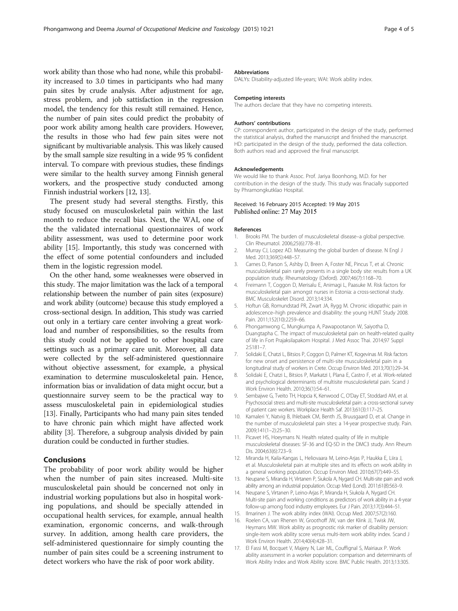<span id="page-3-0"></span>work ability than those who had none, while this probability increased to 3.0 times in participants who had many pain sites by crude analysis. After adjustment for age, stress problem, and job sattisfaction in the regression model, the tendency for this result still remained. Hence, the number of pain sites could predict the probabity of poor work ability among health care providers. However, the results in those who had few pain sites were not significant by multivariable analysis. This was likely caused by the small sample size resulting in a wide 95 % confident interval. To compare with previous studies, these findings were similar to the health survey among Finnish general workers, and the prospective study conducted among Finnish industrial workers [12, 13].

The present study had several stengths. Firstly, this study focused on musculoskeletal pain within the last month to reduce the recall bias. Next, the WAI, one of the the validated international questionnaires of work ability assessment, was used to determine poor work ability [15]. Importantly, this study was concerned with the effect of some potential confounders and included them in the logistic regression model.

On the other hand, some weaknesses were observed in this study. The major limitation was the lack of a temporal relationship between the number of pain sites (exposure) and work ability (outcome) because this study employed a cross-sectional design. In addition, This study was carried out only in a tertiary care center involving a great workload and number of responsibilities, so the results from this study could not be applied to other hospital care settings such as a primary care unit. Moreover, all data were collected by the self-administered questionnaire without objective assessment, for example, a physical examination to determine musculoskeletal pain. Hence, information bias or invalidation of data might occur, but a questionnaire survey seem to be the practical way to assess musculoskeletal pain in epidemiological studies [13]. Finally, Participants who had many pain sites tended to have chronic pain which might have affected work ability [3]. Therefore, a subgroup analysis divided by pain duration could be conducted in further studies.

# Conclusions

The probability of poor work ability would be higher when the number of pain sites increased. Multi-site musculoskeletal pain should be concerned not only in industrial working populations but also in hospital working populations, and should be specially attended in occupational health services, for example, annual health examination, ergonomic concerns, and walk-through survey. In addition, among health care providers, the self-administered questionnaire for simply counting the number of pain sites could be a screening instrument to detect workers who have the risk of poor work ability.

#### Abbreviations

DALYs: Disability-adjusted life-years; WAI: Work ability index.

#### Competing interests

The authors declare that they have no competing interests.

#### Authors' contributions

CP: correspondent author, participated in the design of the study, performed the statistical analysis, drafted the manuscript and finished the manuscript. HD: participated in the design of the study, performed the data collection. Both authors read and approved the final manuscript.

#### Acknowledgements

We would like to thank Assoc. Prof. Jariya Boonhong, M.D. for her contribution in the design of the study. This study was finacially supported by Phramongkutklao Hospital.

#### Received: 16 February 2015 Accepted: 19 May 2015 Published online: 27 May 2015

#### References

- 1. Brooks PM. The burden of musculoskeletal disease–a global perspective. Clin Rheumatol. 2006;25(6):778–81.
- 2. Murray CJ, Lopez AD. Measuring the global burden of disease. N Engl J Med. 2013;369(5):448–57.
- 3. Carnes D, Parson S, Ashby D, Breen A, Foster NE, Pincus T, et al. Chronic musculoskeletal pain rarely presents in a single body site: results from a UK population study. Rheumatology (Oxford). 2007;46(7):1168–70.
- 4. Freimann T, Coggon D, Merisalu E, Animagi L, Paasuke M. Risk factors for musculoskeletal pain amongst nurses in Estonia: a cross-sectional study. BMC Musculoskelet Disord. 2013;14:334.
- 5. Hoftun GB, Romundstad PR, Zwart JA, Rygg M. Chronic idiopathic pain in adolescence–high prevalence and disability: the young HUNT Study 2008. Pain. 2011;152(10):2259–66.
- 6. Phongamwong C, Mungkumpa A, Pawapootanon W, Saiyotha D, Duangtapha C. The impact of musculoskeletal pain on health-related quality of life in Fort Prajaksilapakom Hospital. J Med Assoc Thai. 2014;97 Suppl 2:S181–7.
- 7. Solidaki E, Chatzi L, Bitsios P, Coggon D, Palmer KT, Kogevinas M. Risk factors for new onset and persistence of multi-site musculoskeletal pain in a longitudinal study of workers in Crete. Occup Environ Med. 2013;70(1):29–34.
- 8. Solidaki E, Chatzi L, Bitsios P, Markatzi I, Plana E, Castro F, et al. Work-related and psychological determinants of multisite musculoskeletal pain. Scand J Work Environ Health. 2010;36(1):54–61.
- 9. Sembajwe G, Tveito TH, Hopcia K, Kenwood C, O'Day ET, Stoddard AM, et al. Psychosocial stress and multi-site musculoskeletal pain: a cross-sectional survey of patient care workers. Workplace Health Saf. 2013;61(3):117–25.
- 10. Kamaleri Y, Natvig B, Ihlebaek CM, Benth JS, Bruusgaard D, et al. Change in the number of musculoskeletal pain sites: a 14-year prospective study. Pain. 2009;141(1–2):25–30.
- 11. Picavet HS, Hoeymans N. Health related quality of life in multiple musculoskeletal diseases: SF-36 and EQ-5D in the DMC3 study. Ann Rheum Dis. 2004;63(6):723–9.
- 12. Miranda H, Kaila-Kangas L, Heliovaara M, Leino-Arjas P, Haukka E, Liira J, et al. Musculoskeletal pain at multiple sites and its effects on work ability in a general working population. Occup Environ Med. 2010;67(7):449–55.
- 13. Neupane S, Miranda H, Virtanen P, Siukola A, Nygard CH. Multi-site pain and work ability among an industrial population. Occup Med (Lond). 2011;61(8):563-9.
- 14. Neupane S, Virtanen P, Leino-Arjas P, Miranda H, Siukola A, Nygard CH. Multi-site pain and working conditions as predictors of work ability in a 4-year follow-up among food industry employees. Eur J Pain. 2013;17(3):444–51.
- 15. Ilmarinen J. The work ability index (WAI). Occup Med. 2007;57(2):160.
- 16. Roelen CA, van Rhenen W, Groothoff JW, van der Klink JJ, Twisk JW, Heymans MW. Work ability as prognostic risk marker of disability pension: single-item work ability score versus multi-item work ability index. Scand J Work Environ Health. 2014;40(4):428–31.
- 17. El Fassi M, Bocquet V, Majery N, Lair ML, Couffignal S, Mairiaux P. Work ability assessment in a worker population: comparison and determinants of Work Ability Index and Work Ability score. BMC Public Health. 2013;13:305.